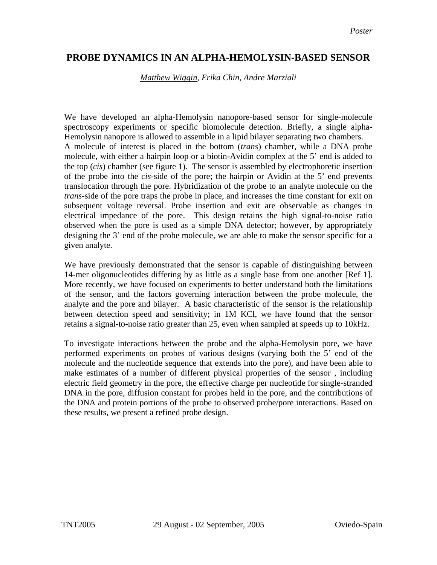## **PROBE DYNAMICS IN AN ALPHA-HEMOLYSIN-BASED SENSOR**

*Matthew Wiggin, Erika Chin, Andre Marziali* 

We have developed an alpha-Hemolysin nanopore-based sensor for single-molecule spectroscopy experiments or specific biomolecule detection. Briefly, a single alpha-Hemolysin nanopore is allowed to assemble in a lipid bilayer separating two chambers. A molecule of interest is placed in the bottom (*trans*) chamber, while a DNA probe molecule, with either a hairpin loop or a biotin-Avidin complex at the 5' end is added to the top (*cis*) chamber (see figure 1). The sensor is assembled by electrophoretic insertion of the probe into the *cis*-side of the pore; the hairpin or Avidin at the 5' end prevents translocation through the pore. Hybridization of the probe to an analyte molecule on the *trans*-side of the pore traps the probe in place, and increases the time constant for exit on subsequent voltage reversal. Probe insertion and exit are observable as changes in electrical impedance of the pore. This design retains the high signal-to-noise ratio observed when the pore is used as a simple DNA detector; however, by appropriately designing the 3' end of the probe molecule, we are able to make the sensor specific for a given analyte.

We have previously demonstrated that the sensor is capable of distinguishing between 14-mer oligonucleotides differing by as little as a single base from one another [Ref 1]. More recently, we have focused on experiments to better understand both the limitations of the sensor, and the factors governing interaction between the probe molecule, the analyte and the pore and bilayer. A basic characteristic of the sensor is the relationship between detection speed and sensitivity; in 1M KCl, we have found that the sensor retains a signal-to-noise ratio greater than 25, even when sampled at speeds up to 10kHz.

To investigate interactions between the probe and the alpha-Hemolysin pore, we have performed experiments on probes of various designs (varying both the 5' end of the molecule and the nucleotide sequence that extends into the pore), and have been able to make estimates of a number of different physical properties of the sensor , including electric field geometry in the pore, the effective charge per nucleotide for single-stranded DNA in the pore, diffusion constant for probes held in the pore, and the contributions of the DNA and protein portions of the probe to observed probe/pore interactions. Based on these results, we present a refined probe design.